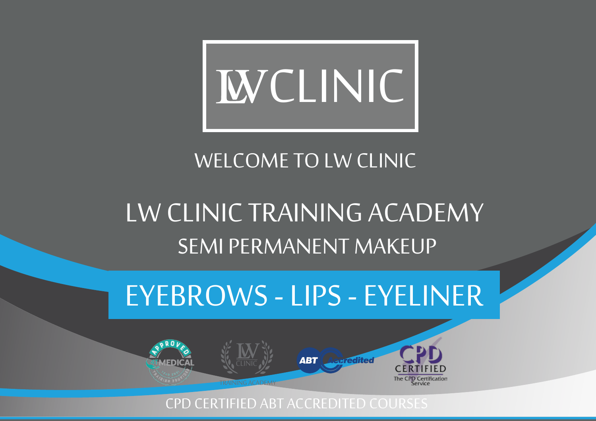

## WELCOME TO LW CLINIC

# LW CLINIC TRAINING ACADEMY SEMI PERMANENT MAKEUP

# EYEBROWS - LIPS - EYELINER



#### CPD CERTIFIED ABT ACCREDITED COURSES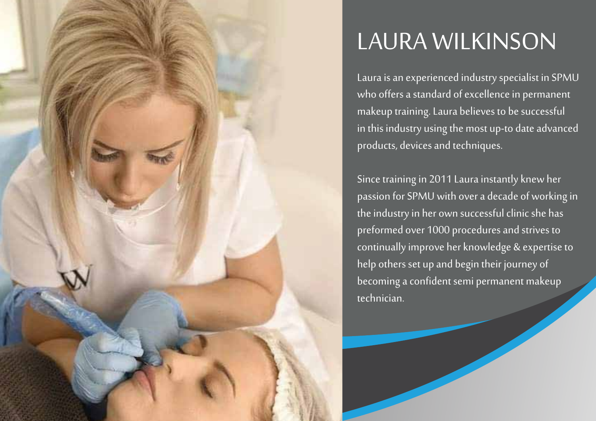

# LAURA WILKINSON

Laura is an experienced industry specialist in SPMU who offers a standard of excellence in permanent makeup training. Laura believes to be successful in this industry using the most up-to date advanced products, devices and techniques.

Since training in 2011 Laura instantly knew her passion for SPMU with over a decade of working in the industry in her own successful clinic she has preformed over 1000 procedures and strives to continually improve her knowledge & expertise to help others set up and begin their journey of becoming a confident semi permanent makeup technician.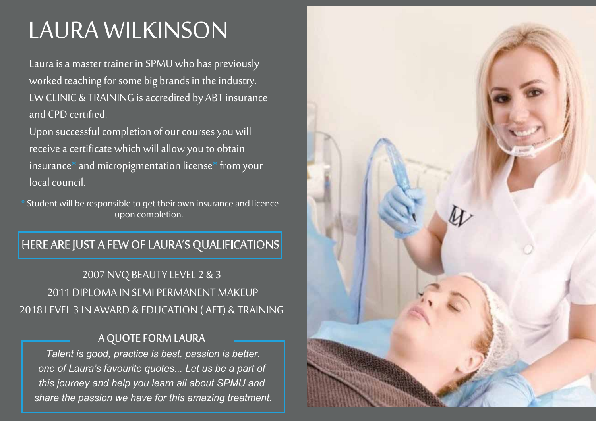# LAURA WILKINSON

Laura is a master trainer in SPMU who has previously worked teaching for some big brands in the industry. LW CLINIC & TRAINING is accredited by ABT insurance and CPD certified.

Upon successful completion of our courses you will receive a certificate which will allow you to obtain insurance\* and micropigmentation license\* from your local council.

Student will be responsible to get their own insurance and licence upon completion.

#### HERE ARE JUST A FEW OF LAURA'S QUALIFICATIONS

2007 NVQ BEAUTY LEVEL 2 & 3 2011 DIPLOMA IN SEMI PERMANENT MAKEUP 2018 LEVEL 3 IN AWARD & EDUCATION ( AET) & TRAINING

#### A QUOTE FORM LAURA

*Talent is good, practice is best, passion is better. one of Laura's favourite quotes... Let us be a part of this journey and help you learn all about SPMU and share the passion we have for this amazing treatment.*

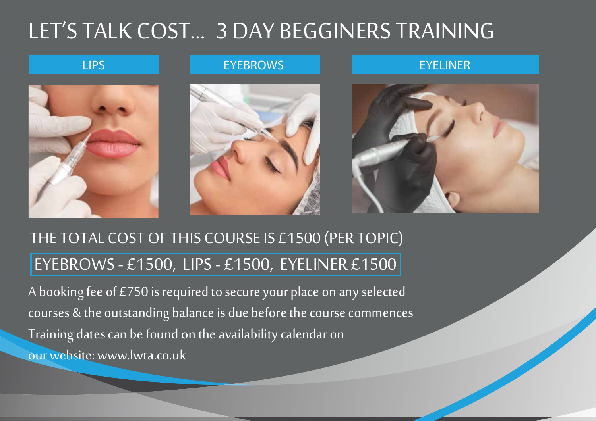# LET'STALK COST... 3 DAY BEGGINERSTRAINING

#### LIPS EYEBROWS EYELINER



## EYEBROWS - £1500, LIPS - £1500, EYELINER £1500 THE TOTAL COST OF THIS COURSE IS £1500 (PER TOPIC)

A booking fee of £750 is required to secure your place on any selected courses & the outstanding balance is due before the course commences Training dates can be found on the availability calendar on our website: www.lwta.co.uk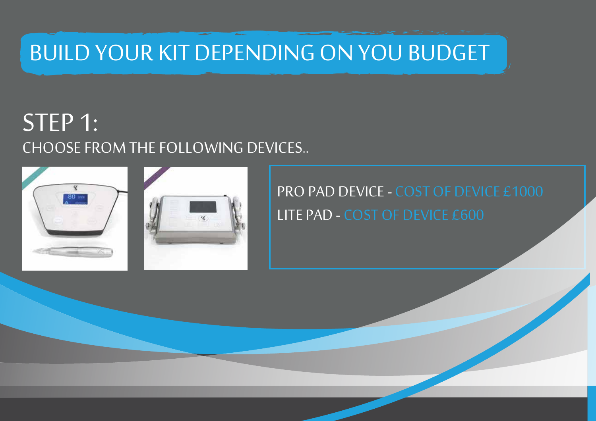# BUILD YOUR KIT DEPENDING ON YOU BUDGET

## STEP 1: CHOOSE FROM THE FOLLOWING DEVICES..





PRO PAD DEVICE - COST OF DEVICE £1000 LITE PAD - COST OF DEVICE £600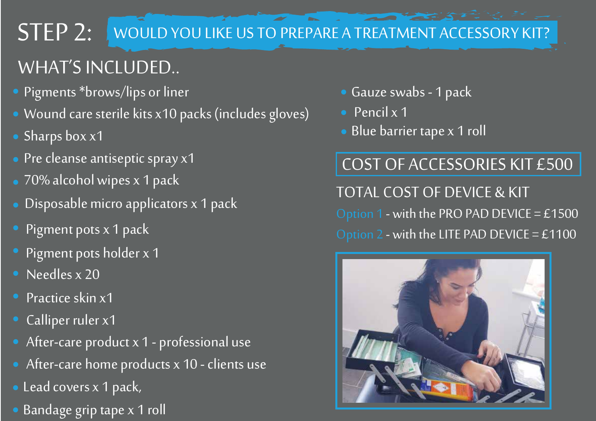#### STEP 2: WOULD YOU LIKE US TO PREPARE A TREATMENT ACCESSORY KIT?

# WHAT'S INCLUDED..

- Pigments \*brows/lips or liner
- Wound care sterile kits x10 packs (includes gloves)
- **Sharps** box x1
- Pre cleanse antiseptic spray x1
- 70% alcohol wipes x 1 pack
- Disposable micro applicators x 1 pack
- Pigment pots x 1 pack
- **Pigment pots holder x 1**
- Needles x 20
- Practice skin x1
- Calliper ruler x1
- After-care product x 1 professional use
- After-care home products x 10 clients use
- Lead covers x 1 pack,
- Bandage grip tape x 1 roll
- Gauze swabs 1 pack
- Pencil  $x$  1
- Blue barrier tape x 1 roll

## COST OF ACCESSORIES KIT £500

TOTAL COST OF DEVICE & KIT Option 1 - with the PRO PAD DEVICE =  $£1500$ Option 2 - with the LITE PAD DEVICE =  $£1100$ 

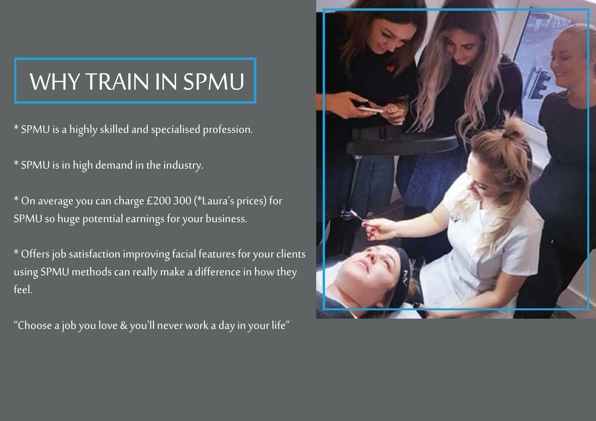# WHY TRAIN IN SPMU

\* SPMU is a highly skilled and specialised profession.

\* SPMU is in high demand in the industry.

\* On averageyou can charge £200 300 (\*Laura's prices) for SPMU so huge potential earnings for your business.

\* Offers job satisfaction improving facial features for your clients using SPMU methods can really make a difference in how they feel.

"Choose a job you love & you'll never work a day in your life"

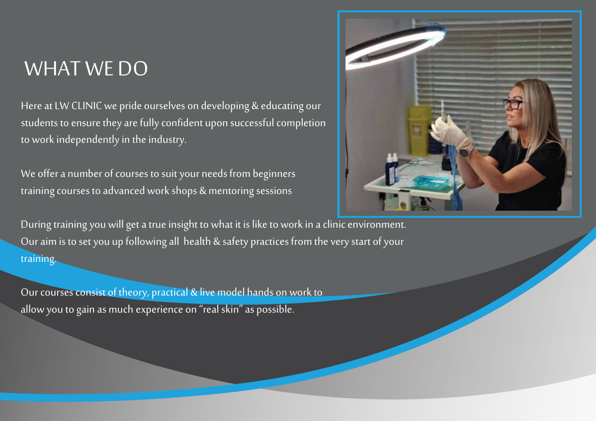### WHAT WE DO

Here at LW CLINIC we pride ourselves on developing & educating our students to ensure they are fully confident upon successful completion to work independently in the industry.

We offer a number of courses to suit your needs from beginners training courses to advanced work shops & mentoring sessions

During training you will get a true insight to what it is like to work in a clinic environment. Our aim is to set you up following all health & safety practices from the very start of your training.

Our courses consist of theory, practical & live model hands on work to allow you to gain as much experience on "real skin" as possible. anow you to gain as mu

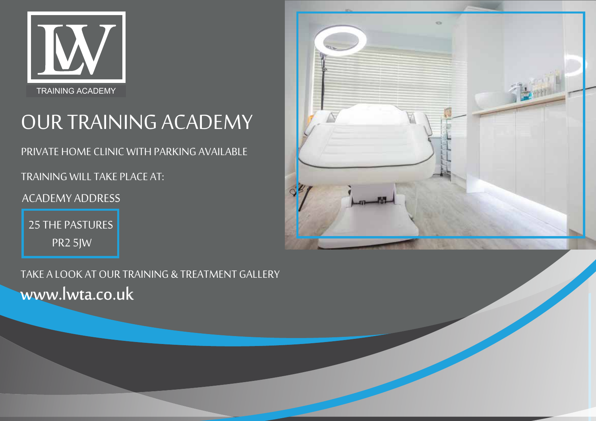

# OUR TRAINING ACADEMY

PRIVATE HOME CLINIC WITH PARKING AVAILABLE

TRAINING WILL TAKE PLACE AT:

ACADEMY ADDRESS

25 THE PASTURES PR2 5JW

www.lwta.co.uk TAKE A LOOK AT OUR TRAINING & TREATMENT GALLERY

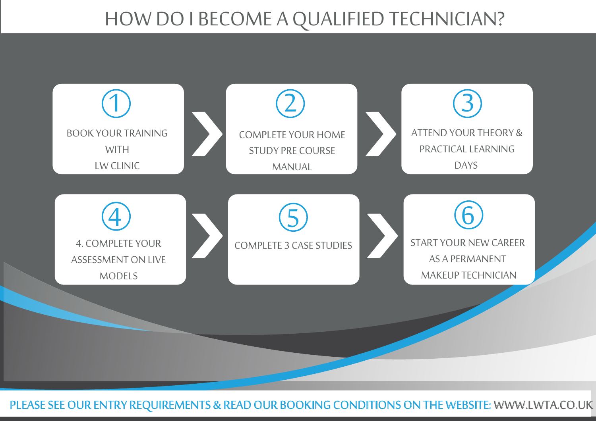## HOW DO I BECOME A QUALIFIED TECHNICIAN?



PLEASE SEE OUR ENTRY REQUIREMENTS & READ OUR BOOKING CONDITIONS ON THE WEBSITE: WWW.LWTA.CO.UK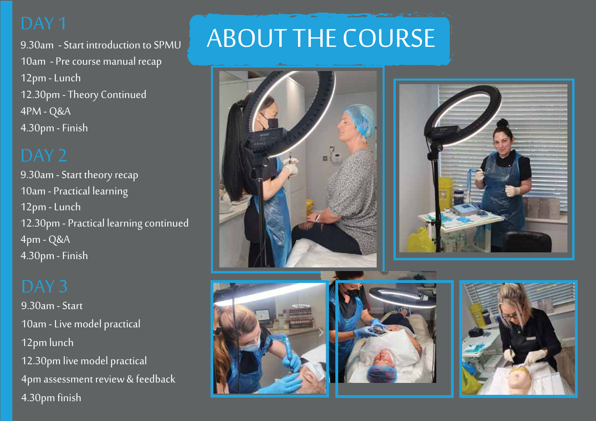9.30am - Start introduction to SPMU 10am - Pre course manual recap 12pm- Lunch 12.30pm - Theory Continued 4PM- Q&A 4.30pm- Finish

9.30am - Start theory recap 10am - Practical learning 12pm- Lunch 12.30pm - Practical learning continued 4pm - Q&A 4.30pm- Finish

9.30am - Start 10am - Live model practical 12pmlunch 12.30pm live model practical 4pm assessment review & feedback 4.30pmfinish

# ABOUTTHE COURSE









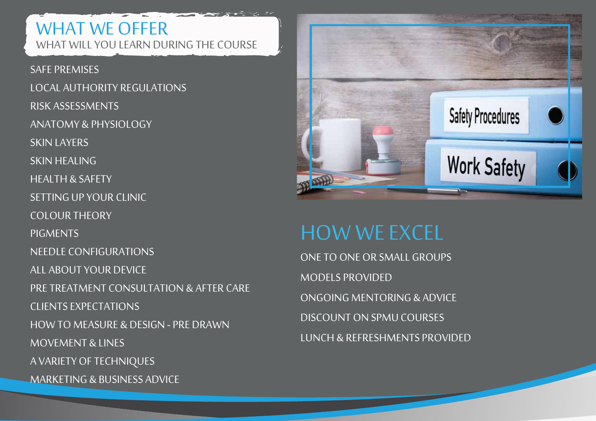WHAT WE OFFER WHATWILL YOU LEARN DURING THE COURSE

SAFE PREMISES LOCAL AUTHORITY REGULATIONS RISK ASSESSMENTS ANATOMY & PHYSIOLOGY SKIN LAYERS SKIN HEALING HEALTH & SAFETY SETTING UP YOUR CLINIC COLOUR THEORY PIGMENTS NEEDLE CONFIGURATIONS ALL ABOUT YOUR DEVICE PRETREATMENT CONSULTATION & AFTER CARE CLIENTSEXPECTATIONS HOWTOMEASURE & DESIGN - PRE DRAWN MOVEMENT & LINES

A VARIETY OF TECHNIQUES

MARKETING & BUSINESS ADVICE



## HOW WE EXCEL

ONETO ONE OR SMALL GROUPS MODELS PROVIDED ONGOING MENTORING & ADVICE DISCOUNT ON SPMU COURSES LUNCH & REFRESHMENTS PROVIDED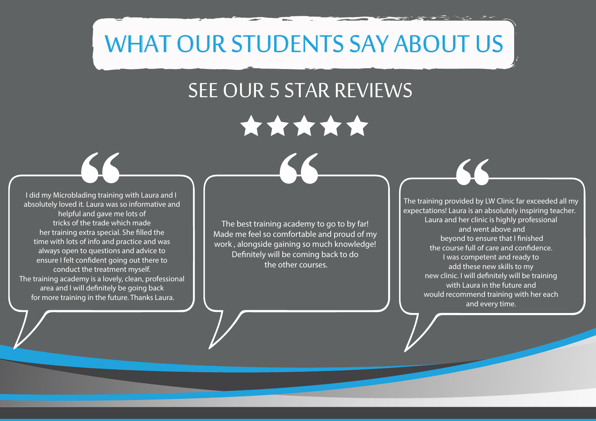# WHAT OUR STUDENTS SAY ABOUT US

### SEE OUR 5 STAR REVIEWS

\*\*\*\*\*

I did my Microblading training with Laura and I absolutely loved it. Laura was so informative and helpful and gave me lots of tricks of the trade which made her training extra special. She filled the time with lots of info and practice and was always open to questions and advice to ensure I felt confident going out there to conduct the treatment myself. The training academy is a lovely, clean, professional area and I will definitely be going back for more training in the future. Thanks Laura.

The best training academy to go to by far! Made me feel so comfortable and proud of my work , alongside gaining so much knowledge! Definitely will be coming back to do the other courses.

The training provided by LW Clinic far exceeded all my expectations! Laura is an absolutely inspiring teacher. Laura and her clinic is highly professional and went above and beyond to ensure that I finished the course full of care and confidence. I was competent and ready to add these new skills to my new clinic. I will definitely will be training with Laura in the future and would recommend training with her each and every time.